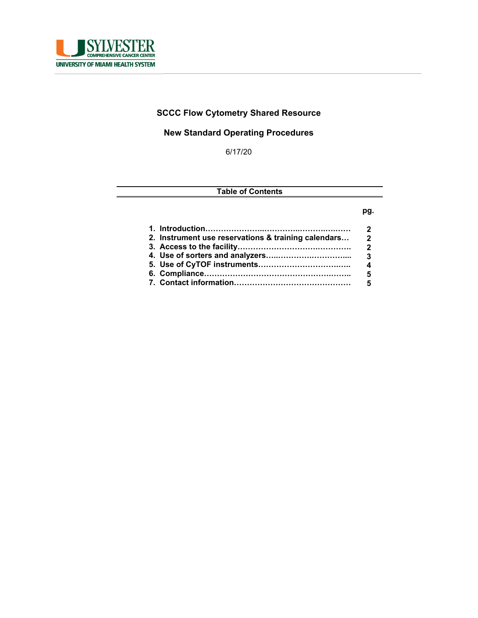

# **SCCC Flow Cytometry Shared Resource**

# **New Standard Operating Procedures**

6/17/20

## **Table of Contents**

#### **pg.**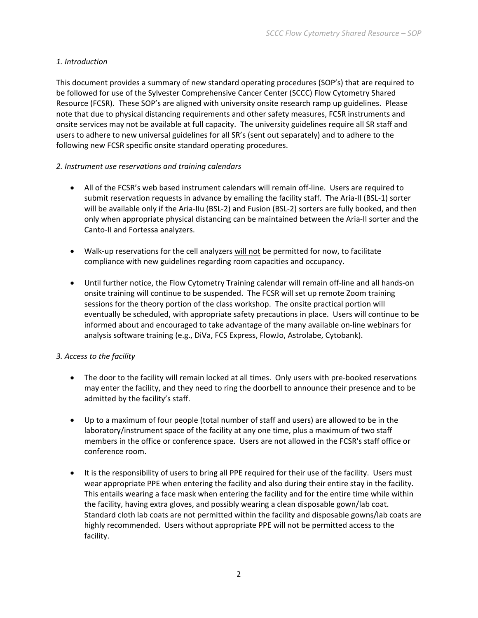### *1. Introduction*

This document provides a summary of new standard operating procedures (SOP's) that are required to be followed for use of the Sylvester Comprehensive Cancer Center (SCCC) Flow Cytometry Shared Resource (FCSR). These SOP's are aligned with university onsite research ramp up guidelines. Please note that due to physical distancing requirements and other safety measures, FCSR instruments and onsite services may not be available at full capacity. The university guidelines require all SR staff and users to adhere to new universal guidelines for all SR's (sent out separately) and to adhere to the following new FCSR specific onsite standard operating procedures.

#### *2. Instrument use reservations and training calendars*

- All of the FCSR's web based instrument calendars will remain off-line. Users are required to submit reservation requests in advance by emailing the facility staff. The Aria-II (BSL-1) sorter will be available only if the Aria-IIu (BSL-2) and Fusion (BSL-2) sorters are fully booked, and then only when appropriate physical distancing can be maintained between the Aria‐II sorter and the Canto‐II and Fortessa analyzers.
- Walk-up reservations for the cell analyzers will not be permitted for now, to facilitate compliance with new guidelines regarding room capacities and occupancy.
- Until further notice, the Flow Cytometry Training calendar will remain off‐line and all hands‐on onsite training will continue to be suspended. The FCSR will set up remote Zoom training sessions for the theory portion of the class workshop. The onsite practical portion will eventually be scheduled, with appropriate safety precautions in place. Users will continue to be informed about and encouraged to take advantage of the many available on‐line webinars for analysis software training (e.g., DiVa, FCS Express, FlowJo, Astrolabe, Cytobank).

### *3. Access to the facility*

- The door to the facility will remain locked at all times. Only users with pre-booked reservations may enter the facility, and they need to ring the doorbell to announce their presence and to be admitted by the facility's staff.
- Up to a maximum of four people (total number of staff and users) are allowed to be in the laboratory/instrument space of the facility at any one time, plus a maximum of two staff members in the office or conference space. Users are not allowed in the FCSR's staff office or conference room.
- It is the responsibility of users to bring all PPE required for their use of the facility. Users must wear appropriate PPE when entering the facility and also during their entire stay in the facility. This entails wearing a face mask when entering the facility and for the entire time while within the facility, having extra gloves, and possibly wearing a clean disposable gown/lab coat. Standard cloth lab coats are not permitted within the facility and disposable gowns/lab coats are highly recommended. Users without appropriate PPE will not be permitted access to the facility.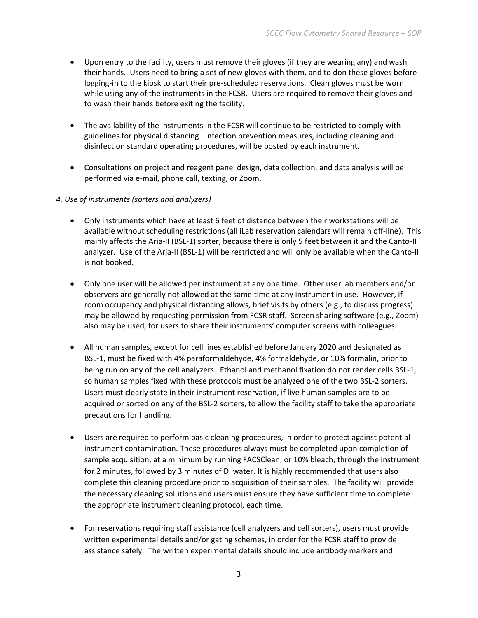- Upon entry to the facility, users must remove their gloves (if they are wearing any) and wash their hands. Users need to bring a set of new gloves with them, and to don these gloves before logging-in to the kiosk to start their pre-scheduled reservations. Clean gloves must be worn while using any of the instruments in the FCSR. Users are required to remove their gloves and to wash their hands before exiting the facility.
- The availability of the instruments in the FCSR will continue to be restricted to comply with guidelines for physical distancing. Infection prevention measures, including cleaning and disinfection standard operating procedures, will be posted by each instrument.
- Consultations on project and reagent panel design, data collection, and data analysis will be performed via e‐mail, phone call, texting, or Zoom.

#### *4. Use of instruments (sorters and analyzers)*

- Only instruments which have at least 6 feet of distance between their workstations will be available without scheduling restrictions (all iLab reservation calendars will remain off‐line). This mainly affects the Aria‐II (BSL‐1) sorter, because there is only 5 feet between it and the Canto‐II analyzer. Use of the Aria-II (BSL-1) will be restricted and will only be available when the Canto-II is not booked.
- Only one user will be allowed per instrument at any one time. Other user lab members and/or observers are generally not allowed at the same time at any instrument in use. However, if room occupancy and physical distancing allows, brief visits by others (e.g., to discuss progress) may be allowed by requesting permission from FCSR staff. Screen sharing software (e.g., Zoom) also may be used, for users to share their instruments' computer screens with colleagues.
- All human samples, except for cell lines established before January 2020 and designated as BSL‐1, must be fixed with 4% paraformaldehyde, 4% formaldehyde, or 10% formalin, prior to being run on any of the cell analyzers. Ethanol and methanol fixation do not render cells BSL‐1, so human samples fixed with these protocols must be analyzed one of the two BSL‐2 sorters. Users must clearly state in their instrument reservation, if live human samples are to be acquired or sorted on any of the BSL‐2 sorters, to allow the facility staff to take the appropriate precautions for handling.
- Users are required to perform basic cleaning procedures, in order to protect against potential instrument contamination. These procedures always must be completed upon completion of sample acquisition, at a minimum by running FACSClean, or 10% bleach, through the instrument for 2 minutes, followed by 3 minutes of DI water. It is highly recommended that users also complete this cleaning procedure prior to acquisition of their samples. The facility will provide the necessary cleaning solutions and users must ensure they have sufficient time to complete the appropriate instrument cleaning protocol, each time.
- For reservations requiring staff assistance (cell analyzers and cell sorters), users must provide written experimental details and/or gating schemes, in order for the FCSR staff to provide assistance safely. The written experimental details should include antibody markers and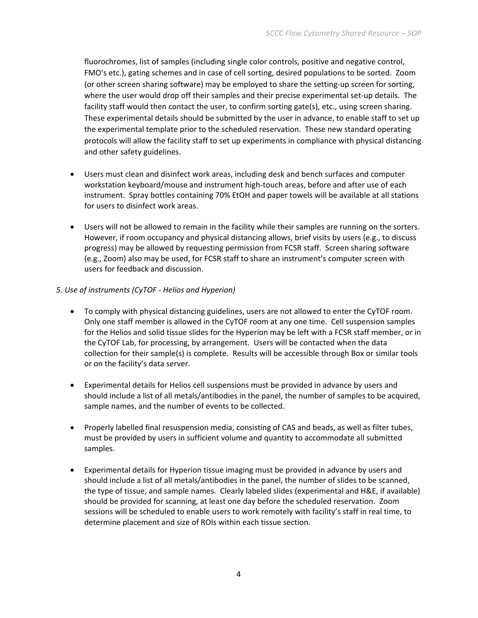fluorochromes, list of samples (including single color controls, positive and negative control, FMO's etc.), gating schemes and in case of cell sorting, desired populations to be sorted. Zoom (or other screen sharing software) may be employed to share the setting‐up screen for sorting, where the user would drop off their samples and their precise experimental set-up details. The facility staff would then contact the user, to confirm sorting gate(s), etc., using screen sharing. These experimental details should be submitted by the user in advance, to enable staff to set up the experimental template prior to the scheduled reservation. These new standard operating protocols will allow the facility staff to set up experiments in compliance with physical distancing and other safety guidelines.

- Users must clean and disinfect work areas, including desk and bench surfaces and computer workstation keyboard/mouse and instrument high‐touch areas, before and after use of each instrument. Spray bottles containing 70% EtOH and paper towels will be available at all stations for users to disinfect work areas.
- Users will not be allowed to remain in the facility while their samples are running on the sorters. However, if room occupancy and physical distancing allows, brief visits by users (e.g., to discuss progress) may be allowed by requesting permission from FCSR staff. Screen sharing software (e.g., Zoom) also may be used, for FCSR staff to share an instrument's computer screen with users for feedback and discussion.
- *5. Use of instruments (CyTOF ‐ Helios and Hyperion)*
	- To comply with physical distancing guidelines, users are not allowed to enter the CyTOF room. Only one staff member is allowed in the CyTOF room at any one time. Cell suspension samples for the Helios and solid tissue slides for the Hyperion may be left with a FCSR staff member, or in the CyTOF Lab, for processing, by arrangement. Users will be contacted when the data collection for their sample(s) is complete. Results will be accessible through Box or similar tools or on the facility's data server.
	- Experimental details for Helios cell suspensions must be provided in advance by users and should include a list of all metals/antibodies in the panel, the number of samples to be acquired, sample names, and the number of events to be collected.
	- Properly labelled final resuspension media, consisting of CAS and beads, as well as filter tubes, must be provided by users in sufficient volume and quantity to accommodate all submitted samples.
	- Experimental details for Hyperion tissue imaging must be provided in advance by users and should include a list of all metals/antibodies in the panel, the number of slides to be scanned, the type of tissue, and sample names. Clearly labeled slides (experimental and H&E, if available) should be provided for scanning, at least one day before the scheduled reservation. Zoom sessions will be scheduled to enable users to work remotely with facility's staff in real time, to determine placement and size of ROIs within each tissue section.